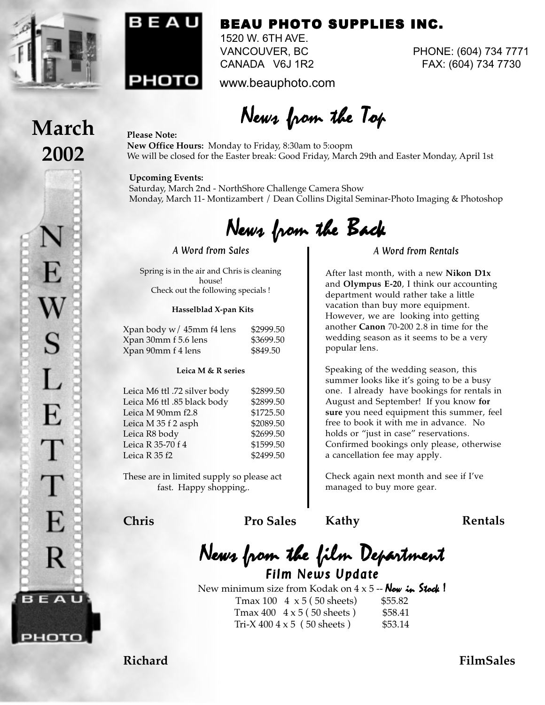

**March**

**2002**



# РНОТО

BEAU PHOTO SUPPLIES INC. 1520 W. 6TH AVE.

VANCOUVER, BC PHONE: (604) 734 7771 CANADA V6J 1R2 FAX: (604) 734 7730

www.beauphoto.com

News from the Top

## **Please Note:**

 **New Office Hours:** Monday to Friday, 8:30am to 5:oopm We will be closed for the Easter break: Good Friday, March 29th and Easter Monday, April 1st

### **Upcoming Events:**

 Saturday, March 2nd - NorthShore Challenge Camera Show Monday, March 11- Montizambert / Dean Collins Digital Seminar-Photo Imaging & Photoshop

News from the Back

### *A Word from Sales*

Spring is in the air and Chris is cleaning house! Check out the following specials !

### **Hasselblad X-pan Kits**

| Xpan body w/ 45mm f4 lens | \$2999.50 |
|---------------------------|-----------|
| Xpan 30mm f 5.6 lens      | \$3699.50 |
| Xpan 90mm f 4 lens        | \$849.50  |

### **Leica M & R series**

| Leica M6 ttl .72 silver body | \$2899.50 |
|------------------------------|-----------|
| Leica M6 ttl .85 black body  | \$2899.50 |
| Leica M 90mm f2.8            | \$1725.50 |
| Leica M 35 f 2 asph          | \$2089.50 |
| Leica R8 body                | \$2699.50 |
| Leica R 35-70 f 4            | \$1599.50 |
| Leica R 35 f2                | \$2499.50 |
|                              |           |

These are in limited supply so please act fast. Happy shopping,.

**Chris Pro Sales**

### *A Word from Rentals*

After last month, with a new **Nikon D1x** and **Olympus E-20**, I think our accounting department would rather take a little vacation than buy more equipment. However, we are looking into getting another **Canon** 70-200 2.8 in time for the wedding season as it seems to be a very popular lens.

Speaking of the wedding season, this summer looks like it's going to be a busy one. I already have bookings for rentals in August and September! If you know **for sure** you need equipment this summer, feel free to book it with me in advance. No holds or "just in case" reservations. Confirmed bookings only please, otherwise a cancellation fee may apply.

Check again next month and see if I've managed to buy more gear.

**Kathy Rentals**

News from the film Department *Film News Update Film* 

New minimum size from Kodak on  $4 \times 5$  -- Now in Stock!

 $T$ max 100  $4 \times 5(50 \text{ sheets})$  \$55.82  $T$ max 400  $4 \times 5$  (50 sheets ) \$58.41 Tri-X 400  $4 \times 5$  (50 sheets) \$53.14

Richard FilmSales

 $S$ L E E R BEAU

-юто